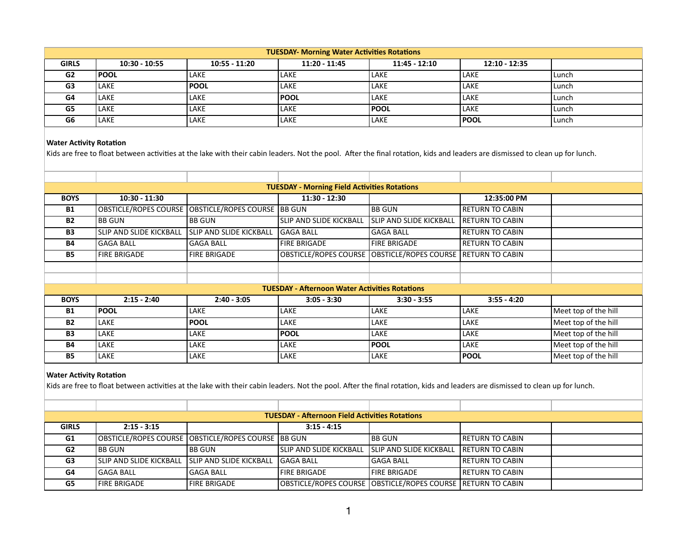| <b>TUESDAY- Morning Water Activities Rotations</b> |                 |                 |                 |                 |                 |       |  |  |
|----------------------------------------------------|-----------------|-----------------|-----------------|-----------------|-----------------|-------|--|--|
| <b>GIRLS</b>                                       | $10:30 - 10:55$ | $10:55 - 11:20$ | $11:20 - 11:45$ | $11:45 - 12:10$ | $12:10 - 12:35$ |       |  |  |
| G <sub>2</sub>                                     | <b>POOL</b>     | LAKE            | LAKE            | LAKE            | LAKE            | Lunch |  |  |
| G3                                                 | LAKE            | <b>IPOOL</b>    | LAKE            | LAKE            | LAKE            | Lunch |  |  |
| G4                                                 | LAKE            | LAKE            | l POOL          | LAKE            | LAKE            | Lunch |  |  |
| G5                                                 | LAKE            | LAKE            | LAKE            | <b>POOL</b>     | LAKE            | Lunch |  |  |
| G6                                                 | LAKE            | LAKE            | <b>LAKE</b>     | LAKE            | <b>IPOOL</b>    | Lunch |  |  |

Kids are free to float between activities at the lake with their cabin leaders. Not the pool. After the final rotation, kids and leaders are dismissed to clean up for lunch.

| <b>TUESDAY - Morning Field Activities Rotations</b> |                              |                                |                                                       |                                        |                        |                      |  |  |
|-----------------------------------------------------|------------------------------|--------------------------------|-------------------------------------------------------|----------------------------------------|------------------------|----------------------|--|--|
| <b>BOYS</b>                                         | $10:30 - 11:30$              |                                | $11:30 - 12:30$                                       |                                        | 12:35:00 PM            |                      |  |  |
| <b>B1</b>                                           | <b>OBSTICLE/ROPES COURSE</b> | OBSTICLE/ROPES COURSE BB GUN   |                                                       | <b>BB GUN</b>                          | <b>RETURN TO CABIN</b> |                      |  |  |
| <b>B2</b>                                           | <b>BB GUN</b>                | <b>BB GUN</b>                  | <b>SLIP AND SLIDE KICKBALL</b>                        | <b>SLIP AND SLIDE KICKBALL</b>         | l RETURN TO CABIN      |                      |  |  |
| <b>B3</b>                                           | SLIP AND SLIDE KICKBALL      | <b>SLIP AND SLIDE KICKBALL</b> | <b>GAGA BALL</b>                                      | <b>GAGA BALL</b>                       | I RETURN TO CABIN      |                      |  |  |
| <b>B4</b>                                           | <b>GAGA BALL</b>             | <b>GAGA BALL</b>               | <b>FIRE BRIGADE</b>                                   | <b>FIRE BRIGADE</b>                    | I RETURN TO CABIN      |                      |  |  |
| <b>B5</b>                                           | <b>FIRE BRIGADE</b>          | <b>FIRE BRIGADE</b>            | <b>OBSTICLE/ROPES COURSE</b>                          | OBSTICLE/ROPES COURSE  RETURN TO CABIN |                        |                      |  |  |
|                                                     |                              |                                |                                                       |                                        |                        |                      |  |  |
|                                                     |                              |                                |                                                       |                                        |                        |                      |  |  |
|                                                     |                              |                                | <b>TUESDAY - Afternoon Water Activities Rotations</b> |                                        |                        |                      |  |  |
| <b>BOYS</b>                                         | $2:15 - 2:40$                | $2:40 - 3:05$                  | $3:05 - 3:30$                                         | $3:30 - 3:55$                          | $3:55 - 4:20$          |                      |  |  |
| <b>B1</b>                                           | <b>POOL</b>                  | <b>LAKE</b>                    | LAKE                                                  | LAKE                                   | <b>LAKE</b>            | Meet top of the hill |  |  |
| <b>B2</b>                                           | LAKE                         | <b>POOL</b>                    | LAKE                                                  | <b>LAKE</b>                            | <b>LAKE</b>            | Meet top of the hill |  |  |
| <b>B3</b>                                           | LAKE                         | <b>LAKE</b>                    | <b>POOL</b>                                           | <b>LAKE</b>                            | LAKE                   | Meet top of the hill |  |  |
| <b>B4</b>                                           | LAKE                         | <b>LAKE</b>                    | LAKE                                                  | <b>POOL</b>                            | LAKE                   | Meet top of the hill |  |  |
| <b>B5</b>                                           | LAKE                         | LAKE                           | LAKE                                                  | <b>LAKE</b>                            | <b>POOL</b>            | Meet top of the hill |  |  |
|                                                     |                              |                                |                                                       |                                        |                        |                      |  |  |

## **Water Activity Rotation**

Kids are free to float between activities at the lake with their cabin leaders. Not the pool. After the final rotation, kids and leaders are dismissed to clean up for lunch.

| <b>TUESDAY - Afternoon Field Activities Rotations</b> |                                                   |                                                        |                                 |                                                                 |                         |  |  |  |
|-------------------------------------------------------|---------------------------------------------------|--------------------------------------------------------|---------------------------------|-----------------------------------------------------------------|-------------------------|--|--|--|
| <b>GIRLS</b>                                          | $2:15 - 3:15$                                     |                                                        | $3:15 - 4:15$                   |                                                                 |                         |  |  |  |
| G1                                                    |                                                   | OBSTICLE/ROPES COURSE   OBSTICLE/ROPES COURSE   BB GUN |                                 | <b>BB GUN</b>                                                   | <b>IRETURN TO CABIN</b> |  |  |  |
| G2                                                    | I BB GUN                                          | IBB GUN                                                | <b>ISLIP AND SLIDE KICKBALL</b> | <b>ISLIP AND SLIDE KICKBALL</b>                                 | . IRETURN TO CABIN      |  |  |  |
| G <sub>3</sub>                                        | ISLIP AND SLIDE KICKBALL ISLIP AND SLIDE KICKBALL |                                                        | <b>GAGA BALL</b>                | lGAGA BALL                                                      | IRETURN TO CABIN        |  |  |  |
| G4                                                    | <b>GAGA BALL</b>                                  | lGAGA BALL                                             | FIRE BRIGADE                    | l FIRE BRIGADE                                                  | <b>IRETURN TO CABIN</b> |  |  |  |
| G5                                                    | <b>FIRE BRIGADE</b>                               | <b>FIRE BRIGADE</b>                                    |                                 | OBSTICLE/ROPES COURSE   OBSTICLE/ROPES COURSE   RETURN TO CABIN |                         |  |  |  |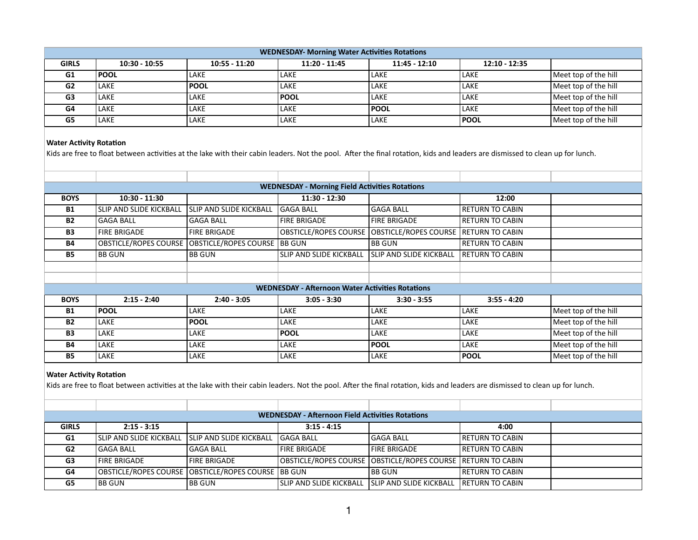| <b>WEDNESDAY- Morning Water Activities Rotations</b> |                 |                 |                 |                 |                 |                      |  |  |
|------------------------------------------------------|-----------------|-----------------|-----------------|-----------------|-----------------|----------------------|--|--|
| <b>GIRLS</b>                                         | $10:30 - 10:55$ | $10:55 - 11:20$ | $11:20 - 11:45$ | $11:45 - 12:10$ | $12:10 - 12:35$ |                      |  |  |
| G1                                                   | <b>POOL</b>     | LAKE            | LAKE            | LAKE            | <b>LAKE</b>     | Meet top of the hill |  |  |
| G <sub>2</sub>                                       | LAKE            | <b>IPOOL</b>    | LAKE            | LAKE            | <b>LAKE</b>     | Meet top of the hill |  |  |
| G <sub>3</sub>                                       | LAKE            | LAKE            | <b>IPOOL</b>    | LAKE            | <b>LAKE</b>     | Meet top of the hill |  |  |
| G4                                                   | LAKE            | LAKE            | <b>LAKE</b>     | <b>POOL</b>     | <b>LAKE</b>     | Meet top of the hill |  |  |
| G5                                                   | LAKE            | LAKE            | LAKE            | LAKE            | <b>POOL</b>     | Meet top of the hill |  |  |

Kids are free to float between activities at the lake with their cabin leaders. Not the pool. After the final rotation, kids and leaders are dismissed to clean up for lunch.

| <b>WEDNESDAY - Morning Field Activities Rotations</b> |                              |                              |                                                         |                                |                        |                      |  |  |
|-------------------------------------------------------|------------------------------|------------------------------|---------------------------------------------------------|--------------------------------|------------------------|----------------------|--|--|
| <b>BOYS</b>                                           | $10:30 - 11:30$              |                              | $11:30 - 12:30$                                         |                                | 12:00                  |                      |  |  |
| <b>B1</b>                                             | ISLIP AND SLIDE KICKBALL     | ISLIP AND SLIDE KICKBALL     | <b>GAGA BALL</b>                                        | <b>GAGA BALL</b>               | <b>RETURN TO CABIN</b> |                      |  |  |
| <b>B2</b>                                             | lGAGA BALL                   | <b>GAGA BALL</b>             | <b>FIRE BRIGADE</b>                                     | <b>FIRE BRIGADE</b>            | I RETURN TO CABIN      |                      |  |  |
| <b>B3</b>                                             | <b>FIRE BRIGADE</b>          | <b>FIRE BRIGADE</b>          | <b>OBSTICLE/ROPES COURSE</b>                            | OBSTICLE/ROPES COURSE          | I RETURN TO CABIN      |                      |  |  |
| <b>B4</b>                                             | <b>OBSTICLE/ROPES COURSE</b> | OBSTICLE/ROPES COURSE BB GUN |                                                         | <b>BB GUN</b>                  | I RETURN TO CABIN      |                      |  |  |
| <b>B5</b>                                             | <b>BB GUN</b>                | <b>BB GUN</b>                | SLIP AND SLIDE KICKBALL                                 | <b>SLIP AND SLIDE KICKBALL</b> | IRETURN TO CABIN       |                      |  |  |
|                                                       |                              |                              |                                                         |                                |                        |                      |  |  |
|                                                       |                              |                              |                                                         |                                |                        |                      |  |  |
|                                                       |                              |                              | <b>WEDNESDAY - Afternoon Water Activities Rotations</b> |                                |                        |                      |  |  |
| <b>BOYS</b>                                           | $2:15 - 2:40$                | $2:40 - 3:05$                | $3:05 - 3:30$                                           | $3:30 - 3:55$                  | $3:55 - 4:20$          |                      |  |  |
| <b>B1</b>                                             | <b>POOL</b>                  | LAKE                         | LAKE                                                    | LAKE                           | LAKE                   | Meet top of the hill |  |  |
| <b>B2</b>                                             | LAKE                         | <b>POOL</b>                  | LAKE                                                    | <b>LAKE</b>                    | LAKE                   | Meet top of the hill |  |  |
| <b>B3</b>                                             | LAKE                         | LAKE                         | <b>POOL</b>                                             | <b>LAKE</b>                    | LAKE                   | Meet top of the hill |  |  |
| <b>B4</b>                                             | LAKE                         | LAKE                         | LAKE                                                    | <b>POOL</b>                    | LAKE                   | Meet top of the hill |  |  |
| <b>B5</b>                                             | LAKE                         | <b>LAKE</b>                  | LAKE                                                    | LAKE                           | <b>POOL</b>            | Meet top of the hill |  |  |

## **Water Activity Rotation**

Kids are free to float between activities at the lake with their cabin leaders. Not the pool. After the final rotation, kids and leaders are dismissed to clean up for lunch.

| <b>WEDNESDAY - Afternoon Field Activities Rotations</b> |                                                   |                                                        |                                                                    |                      |                         |  |  |  |
|---------------------------------------------------------|---------------------------------------------------|--------------------------------------------------------|--------------------------------------------------------------------|----------------------|-------------------------|--|--|--|
| <b>GIRLS</b>                                            | $2:15 - 3:15$                                     |                                                        | $3:15 - 4:15$                                                      |                      | 4:00                    |  |  |  |
| G1                                                      | ISLIP AND SLIDE KICKBALL ISLIP AND SLIDE KICKBALL |                                                        | IGAGA BALL                                                         | l GAGA BALL          | <b>IRETURN TO CABIN</b> |  |  |  |
| G2                                                      | <b>GAGA BALL</b>                                  | lGAGA BALL                                             | <b>FIRE BRIGADE</b>                                                | <b>IFIRE BRIGADE</b> | <b>IRETURN TO CABIN</b> |  |  |  |
| G <sub>3</sub>                                          | <b>FIRE BRIGADE</b>                               | <b>FIRE BRIGADE</b>                                    |                                                                    |                      |                         |  |  |  |
| G4                                                      |                                                   | OBSTICLE/ROPES COURSE   OBSTICLE/ROPES COURSE   BB GUN |                                                                    | I BB GUN             | <b>IRETURN TO CABIN</b> |  |  |  |
| G5                                                      | I BB GUN                                          | <b>BB GUN</b>                                          | ISLIP AND SLIDE KICKBALL ISLIP AND SLIDE KICKBALL IRETURN TO CABIN |                      |                         |  |  |  |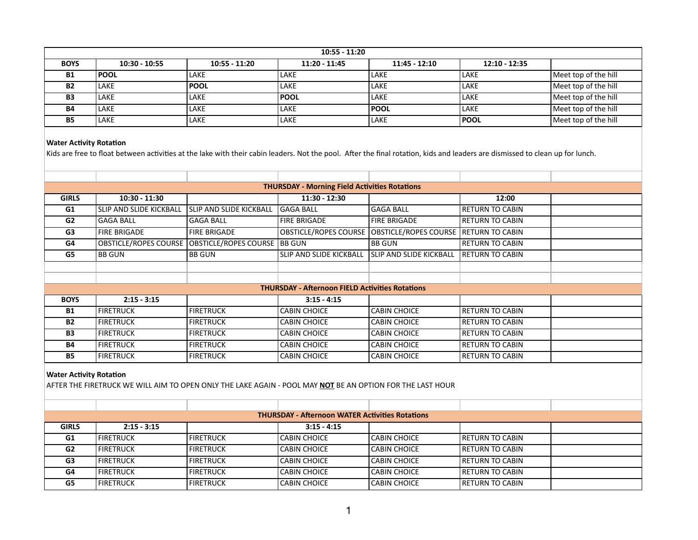| $10:55 - 11:20$ |                 |                 |                 |                 |                 |                      |  |  |
|-----------------|-----------------|-----------------|-----------------|-----------------|-----------------|----------------------|--|--|
| <b>BOYS</b>     | $10:30 - 10:55$ | $10:55 - 11:20$ | $11:20 - 11:45$ | $11:45 - 12:10$ | $12:10 - 12:35$ |                      |  |  |
| <b>B1</b>       | <b>POOL</b>     | LAKE            | LAKE            | LAKE            | LAKE            | Meet top of the hill |  |  |
| <b>B2</b>       | LAKE            | <b>IPOOL</b>    | LAKE            | LAKE            | LAKE            | Meet top of the hill |  |  |
| <b>B3</b>       | LAKE            | <b>LAKE</b>     | <b>IPOOL</b>    | LAKE            | LAKE            | Meet top of the hill |  |  |
| <b>B4</b>       | LAKE            | <b>LAKE</b>     | LAKE            | l POOL          | LAKE            | Meet top of the hill |  |  |
| <b>B5</b>       | LAKE            | LAKE            | LAKE            | LAKE            | <b>IPOOL</b>    | Meet top of the hill |  |  |

Kids are free to float between activities at the lake with their cabin leaders. Not the pool. After the final rotation, kids and leaders are dismissed to clean up for lunch.

| <b>THURSDAY - Morning Field Activities Rotations</b> |                                |                                |                                                        |                                         |                         |  |  |  |
|------------------------------------------------------|--------------------------------|--------------------------------|--------------------------------------------------------|-----------------------------------------|-------------------------|--|--|--|
| <b>GIRLS</b>                                         | $10:30 - 11:30$                |                                | $11:30 - 12:30$                                        |                                         | 12:00                   |  |  |  |
| G1                                                   | <b>SLIP AND SLIDE KICKBALL</b> | <b>SLIP AND SLIDE KICKBALL</b> | <b>GAGA BALL</b>                                       | <b>GAGA BALL</b>                        | <b>RETURN TO CABIN</b>  |  |  |  |
| G <sub>2</sub>                                       | <b>GAGA BALL</b>               | <b>GAGA BALL</b>               | <b>FIRE BRIGADE</b>                                    | <b>FIRE BRIGADE</b>                     | <b>RETURN TO CABIN</b>  |  |  |  |
| G3                                                   | <b>FIRE BRIGADE</b>            | <b>FIRE BRIGADE</b>            | <b>OBSTICLE/ROPES COURSE</b>                           | OBSTICLE/ROPES COURSE   RETURN TO CABIN |                         |  |  |  |
| G4                                                   | <b>OBSTICLE/ROPES COURSE</b>   | <b>OBSTICLE/ROPES COURSE</b>   | <b>BB GUN</b>                                          | <b>BB GUN</b>                           | <b>RETURN TO CABIN</b>  |  |  |  |
| G5                                                   | <b>BB GUN</b>                  | <b>BB GUN</b>                  | SLIP AND SLIDE KICKBALL                                | SLIP AND SLIDE KICKBALL                 | <b>IRETURN TO CABIN</b> |  |  |  |
|                                                      |                                |                                |                                                        |                                         |                         |  |  |  |
|                                                      |                                |                                |                                                        |                                         |                         |  |  |  |
|                                                      |                                |                                | <b>THURSDAY - Afternoon FIELD Activities Rotations</b> |                                         |                         |  |  |  |
| <b>BOYS</b>                                          | $2:15 - 3:15$                  |                                | $3:15 - 4:15$                                          |                                         |                         |  |  |  |
| <b>B1</b>                                            | <b>FIRETRUCK</b>               | <b>FIRETRUCK</b>               | <b>CABIN CHOICE</b>                                    | <b>CABIN CHOICE</b>                     | <b>RETURN TO CABIN</b>  |  |  |  |
| <b>B2</b>                                            | <b>FIRETRUCK</b>               | <b>FIRETRUCK</b>               | <b>CABIN CHOICE</b>                                    | <b>CABIN CHOICE</b>                     | <b>RETURN TO CABIN</b>  |  |  |  |
| <b>B3</b>                                            | <b>FIRETRUCK</b>               | <b>FIRETRUCK</b>               | <b>CABIN CHOICE</b>                                    | <b>CABIN CHOICE</b>                     | I RETURN TO CABIN       |  |  |  |
| <b>B4</b>                                            | <b>FIRETRUCK</b>               | <b>FIRETRUCK</b>               | <b>CABIN CHOICE</b>                                    | <b>CABIN CHOICE</b>                     | <b>RETURN TO CABIN</b>  |  |  |  |
| <b>B5</b>                                            | <b>FIRETRUCK</b>               | <b>FIRETRUCK</b>               | <b>CABIN CHOICE</b>                                    | <b>CABIN CHOICE</b>                     | <b>RETURN TO CABIN</b>  |  |  |  |
|                                                      |                                |                                |                                                        |                                         |                         |  |  |  |

### **Water Activity Rotation**

AFTER THE FIRETRUCK WE WILL AIM TO OPEN ONLY THE LAKE AGAIN - POOL MAY **NOT** BE AN OPTION FOR THE LAST HOUR

| <b>THURSDAY - Afternoon WATER Activities Rotations</b> |                    |                    |                     |                     |                         |  |  |  |
|--------------------------------------------------------|--------------------|--------------------|---------------------|---------------------|-------------------------|--|--|--|
| <b>GIRLS</b>                                           | $2:15 - 3:15$      |                    | $3:15 - 4:15$       |                     |                         |  |  |  |
| G1                                                     | l firetruck        | <b>I</b> FIRETRUCK | CABIN CHOICE        | <b>CABIN CHOICE</b> | <b>IRETURN TO CABIN</b> |  |  |  |
| G <sub>2</sub>                                         | l firetruck        | <b>I</b> FIRETRUCK | <b>CABIN CHOICE</b> | I CABIN CHOICE      | <b>IRETURN TO CABIN</b> |  |  |  |
| G3                                                     | l firetruck        | <b>I</b> FIRETRUCK | <b>CABIN CHOICE</b> | <b>CABIN CHOICE</b> | <b>IRETURN TO CABIN</b> |  |  |  |
| G4                                                     | <b>FIRETRUCK</b>   | <b>IFIRETRUCK</b>  | <b>CABIN CHOICE</b> | <b>CABIN CHOICE</b> | <b>IRETURN TO CABIN</b> |  |  |  |
| G5                                                     | <b>I</b> FIRETRUCK | <b>I</b> FIRETRUCK | <b>CABIN CHOICE</b> | <b>CABIN CHOICE</b> | <b>IRETURN TO CABIN</b> |  |  |  |